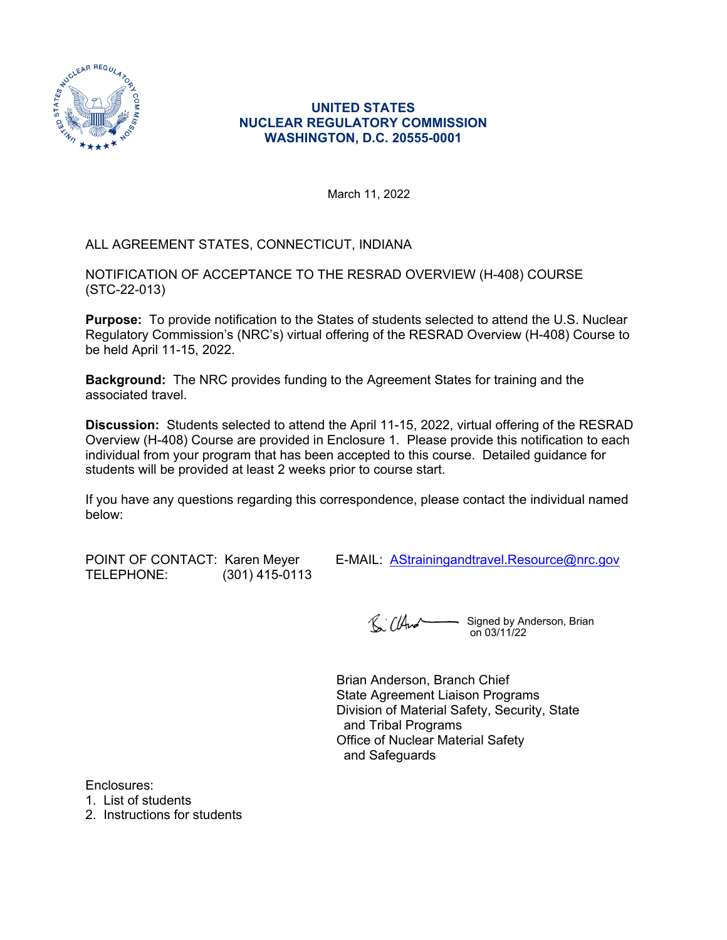

### **UNITED STATES NUCLEAR REGULATORY COMMISSION WASHINGTON, D.C. 20555-0001**

March 11, 2022

## ALL AGREEMENT STATES, CONNECTICUT, INDIANA

NOTIFICATION OF ACCEPTANCE TO THE RESRAD OVERVIEW (H-408) COURSE (STC-22-013)

**Purpose:** To provide notification to the States of students selected to attend the U.S. Nuclear Regulatory Commission's (NRC's) virtual offering of the RESRAD Overview (H-408) Course to be held April 11-15, 2022.

**Background:** The NRC provides funding to the Agreement States for training and the associated travel.

**Discussion:** Students selected to attend the April 11-15, 2022, virtual offering of the RESRAD Overview (H-408) Course are provided in Enclosure 1. Please provide this notification to each individual from your program that has been accepted to this course. Detailed guidance for students will be provided at least 2 weeks prior to course start.

If you have any questions regarding this correspondence, please contact the individual named below:

| POINT OF CONTACT: Karen Meyer |                  |
|-------------------------------|------------------|
| TELEPHONE:                    | $(301)$ 415-0113 |

E-MAIL: [AStrainingandtravel.Resource@nrc.gov](mailto:AStrainingandtravel.Resource@nrc.gov)

R. ClAnd - Signed by Anderson, Brian on 03/11/22

Brian Anderson, Branch Chief State Agreement Liaison Programs Division of Material Safety, Security, State and Tribal Programs Office of Nuclear Material Safety and Safeguards

Enclosures:

1. List of students

2. Instructions for students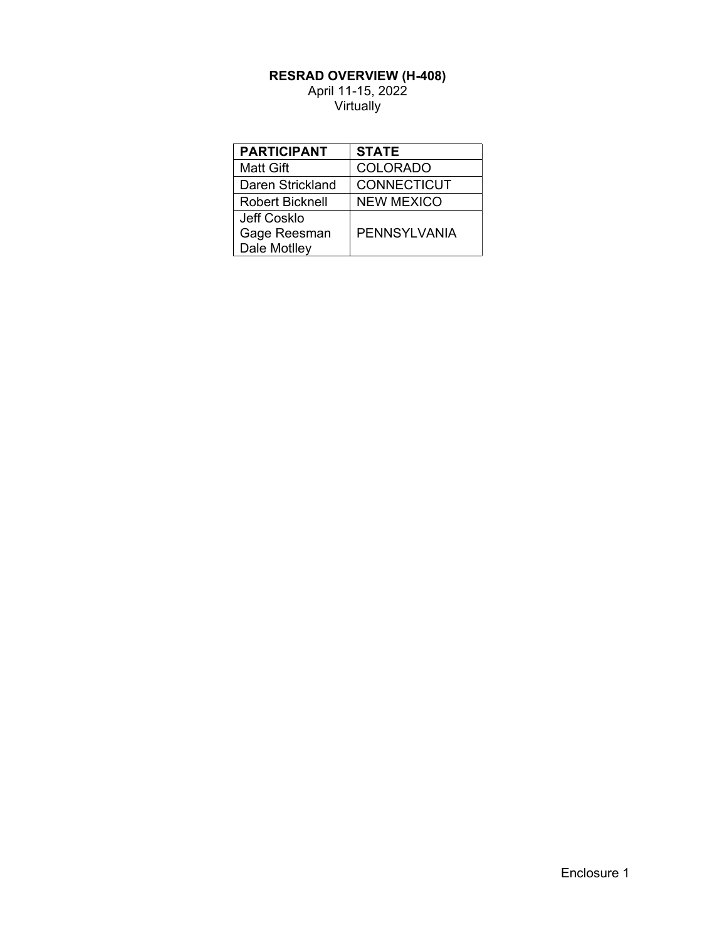#### **RESRAD OVERVIEW (H-408)**

April 11-15, 2022 **Virtually** 

| <b>PARTICIPANT</b> | <b>STATE</b>        |
|--------------------|---------------------|
| Matt Gift          | <b>COLORADO</b>     |
| Daren Strickland   | <b>CONNECTICUT</b>  |
| Robert Bicknell    | <b>NEW MEXICO</b>   |
| Jeff Cosklo        |                     |
| Gage Reesman       | <b>PENNSYLVANIA</b> |
| Dale Motlley       |                     |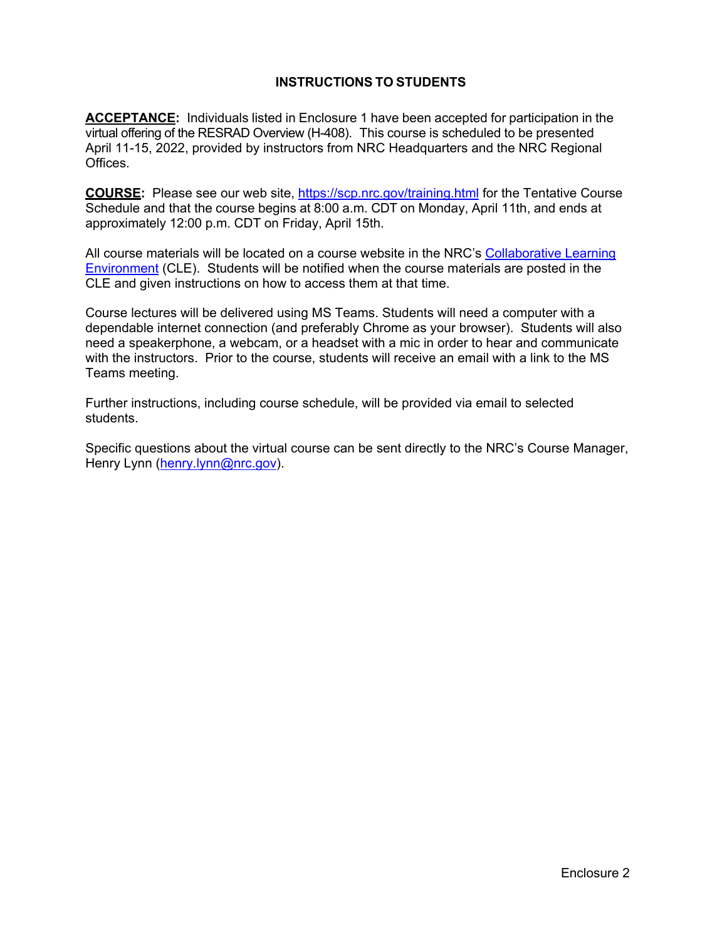## **INSTRUCTIONS TO STUDENTS**

**ACCEPTANCE:** Individuals listed in Enclosure 1 have been accepted for participation in the virtual offering of the RESRAD Overview (H-408). This course is scheduled to be presented April 11-15, 2022, provided by instructors from NRC Headquarters and the NRC Regional Offices.

**COURSE:** Please see our web site, [https://scp.nrc.gov/training.html](http://scp.nrc.gov/training.html) for the Tentative Course Schedule and that the course begins at 8:00 a.m. CDT on Monday, April 11th, and ends at approximately 12:00 p.m. CDT on Friday, April 15th.

All course materials will be located on a course website in the NRC's [Collaborative Learning](https://nrc.usalearning.net/login/index.php)  [Environment](https://nrc.usalearning.net/login/index.php) (CLE). Students will be notified when the course materials are posted in the CLE and given instructions on how to access them at that time.

Course lectures will be delivered using MS Teams. Students will need a computer with a dependable internet connection (and preferably Chrome as your browser). Students will also need a speakerphone, a webcam, or a headset with a mic in order to hear and communicate with the instructors. Prior to the course, students will receive an email with a link to the MS Teams meeting.

Further instructions, including course schedule, will be provided via email to selected students.

Specific questions about the virtual course can be sent directly to the NRC's Course Manager, Henry Lynn ([henry.lynn@nrc.gov\)](mailto:henry.lynn@nrc.gov).